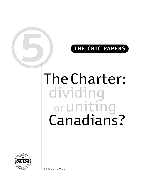# **5 THE CRIC PAPERS**

# TheCharter: dividing or uniting<br>Canadians?

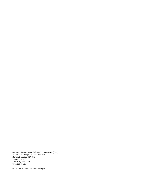Centre for Research and Information on Canada (CRIC) 2000 McGill College Avenue, Suite 250 Montréal, Quebec H3A 3H3 1-800-363-0963 Fax: (514) 843-4590 www.ccu-cuc.ca

*Ce document est aussi disponible en français.*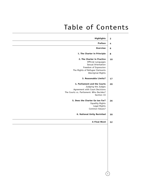# Table of Contents

| <b>Preface</b><br><b>Overview</b><br>1. The Charter in Principle<br>2. The Charter in Practice<br>Official Languages<br>Sexual Orientation<br>Freedom of Expression<br>The Rights of Refugee Claimants<br>Aboriginal Rights<br>3. Reasonable Limits?<br>4. Parliament and the Courts<br>Judging the Judges<br>Agreement with Court Decisions<br>The Courts vs. Parliament: Who Decides?<br>Section 33<br>5. Does the Charter Go too Far?<br><b>Equality Rights</b><br>Legal Rights<br>Common Values?<br>6. National Unity Revisited<br>A Final Word |
|-----------------------------------------------------------------------------------------------------------------------------------------------------------------------------------------------------------------------------------------------------------------------------------------------------------------------------------------------------------------------------------------------------------------------------------------------------------------------------------------------------------------------------------------------------|
|                                                                                                                                                                                                                                                                                                                                                                                                                                                                                                                                                     |
|                                                                                                                                                                                                                                                                                                                                                                                                                                                                                                                                                     |
|                                                                                                                                                                                                                                                                                                                                                                                                                                                                                                                                                     |
|                                                                                                                                                                                                                                                                                                                                                                                                                                                                                                                                                     |
|                                                                                                                                                                                                                                                                                                                                                                                                                                                                                                                                                     |
|                                                                                                                                                                                                                                                                                                                                                                                                                                                                                                                                                     |
|                                                                                                                                                                                                                                                                                                                                                                                                                                                                                                                                                     |
|                                                                                                                                                                                                                                                                                                                                                                                                                                                                                                                                                     |
|                                                                                                                                                                                                                                                                                                                                                                                                                                                                                                                                                     |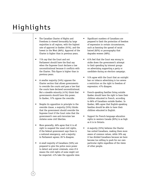# Highlights

- The Canadian Charter of Rights and Freedoms is viewed favourably by large majorities in all regions, with the highest rate of approval in Quebec (91%), and the lowest in the West (86%). Approval of the Charter is higher than in previous years.
- 71% say that the Court and not Parliament should have the final say when the Supreme Court declares a law unconstitutional because it conflicts with the Charter. This figure is higher than in previous years.
- A smaller majority (54%) opposes the Charter section that allows governments to override the courts and pass a law that the courts have declared unconstitutional. But a sizeable minority (41%) think that governments should have this power. In Quebec, 57% oppose the override.
- Despite its opposition in principle to the override clause, a majority (55%) thinks that the government should override the Supreme Court if the Court rules that the government's new anti-terrorism law violates some civil liberties.
- More generally, 66% agree that it is all right to suspend the usual civil rights, if the federal government says there is a national emergency, and a majority in Parliament agrees; 28 % disagree.
- A small majority of Canadians (56%) are prepared to give the police more power to detect and arrest criminals, even if it means the civil rights of some might not be respected. 41% take the opposite view.
- Significant numbers of Canadians are prepared to limit the protection of freedom of expression in certain circumstances, such as banning the spread of racial hatred (82%) or pornography that degrades women (68%).
- 61% feel that the Court was wrong to strike down the government's attempt to limit spending by interest groups on advertising supporting a party or candidate during an election campaign.
- 51% agree with the Court that an outright ban on tobacco advertising is too severe a restriction on the right to freedom of expression; 47% disagree.
- French-speaking families living outside Quebec should have the right to have their children educated in French, according to 86% of Canadians outside Quebec. In Quebec, 88% agree that English-speaking families should be able to have their children educated in English.
- Support for French-language education rights in western Canada (85%) is as high as it is in Ontario.
- A majority (55%) believes the Charter has united Canadians, making them more aware of common values, while 39% say it has divided Canadians because we have become too willing to push for our own particular rights regardless of the views of other people.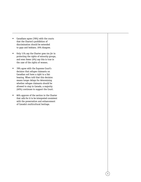- Canadians agree (78%) with the courts that the Charter's prohibition of discrimination should be extended to gays and lesbians. 20% disagree.
- Only 11% say the Charter goes *too far* in protecting the rights of minority groups, and even fewer (6%) say this is true in the case of the rights of women.
- 78% agree with the Supreme Court's decision that refugee claimants on Canadian soil have a right to a fair hearing. When told that this decision means longer delays for determining whether refugee claimants should be allowed to stay in Canada, a majority (60%) continues to support the Court.
- 86% approve of the section in the Charter that calls for it to be interpreted consistent with the preservation and enhancement of Canada's multicultural heritage.

3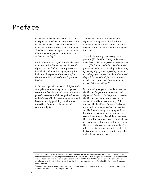# Preface

Canadians are deeply attached to the Charter of Rights and Freedoms. In recent years, nine out of ten surveyed have said the Charter is important to their sense of national identity. The Charter is seen as important to Canadian identity by more people than is the national anthem or the flag.1

But it is more than a symbol. Early advocates of a constitutionally entrenched charter of rights saw it as the best way to protect both individuals and minorities by imposing firm limits on "the tyranny of the majority" and the state's ability to interfere with personal freedom.

It also was hoped that a charter of rights would strengthen national unity in two important ways; unite Canadians of all origins through a powerful statement of shared political values; and defuse conflict between Anglophones and Francophones by providing constitutional protections for minority language and education rights.

That the Charter was intended to protect rights and strengthen national unity is manifest in Prime Minister Pierre Trudeau's remarks at the ceremony where it was signed into law:

*"I speak of a country where every person is free to fulfill himself or herself to the utmost, unhindered by the arbitrary actions of Government . . . . If individuals and minorities do not feel protection against the possibility of the tyranny of the majority, if French-speaking Canadians or native peoples or new Canadians do not feel they will be treated with justice, it is useless to ask them to open their hearts and minds to their fellow Canadians." 2*

In the ensuing 20 years, Canadians have used the Charter frequently in defence of their rights and freedoms. In the process, however, the Charter has, on occasion, become the source of considerable controversy. It has provided the legal basis for court decisions on such divisive issues as abortion, assisted suicide, homosexuality, pornography, hate literature, police powers, the rights of the accused, and Quebec's French language laws. Moreover, the many successful court challenges of government actions have led some to argue that the courts have become too "activist" – effectively displacing democratically elected legislatures as the forums in which key public policy disputes are settled.

<sup>&</sup>lt;sup>1</sup> The exact question asked by Environics is: "How important are the following to the Canadian identity: very important, somewhat important, not very important or not at all important? The Charter of Rights and Freedoms." The same question was asked about other items, including the national anthem and the flag. In 2000, the most recent year in which the question was asked, 94% of those surveyed said the Charter was important to the Canadian identity (source: Environics Research Group).

<sup>&</sup>lt;sup>2</sup> Pierre Trudeau, speech on Parliament Hill, April 17, 1982, as quoted in Thomas Walkom, "Rights Charter Lauded by PM", *The Globe and Mail* (Toronto), 19 April 1982, p. 10.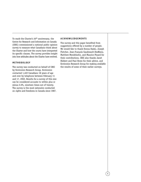To mark the Charter's 20<sup>th</sup> anniversary, the Centre for Research and Information on Canada (CRIC) commissioned a national public opinion survey to measure what Canadians think about the Charter and how the courts have interpreted its specific clauses. The survey provides insight into how attitudes about the Charter have evolved.

# **METHODOLOGY**

The survey was conducted on behalf of CRIC by Environics Research Group. Environics contacted 1,402 Canadians 18 years of age and over by telephone between February 11 and 17, 2002. Results for a survey of this size can be considered accurate to within plus or minus 2.6%, nineteen times out of twenty. The survey is the most extensive conducted on rights and freedoms in Canada since 1987.

# **ACKNOWLEDGEMENTS**

The survey and this paper benefited from suggestions offered by a number of people. We would like to thank Donna Dasko, Joseph Fletcher, Jean-François Gaudreault-DesBiens, Matthew Mendelsohn, and Maurice Pinard for their contributions. CRIC also thanks Janet Hiebert and Paul Howe for their advice, and Environics Research Group for making available the results of some of their earlier surveys.

5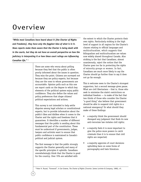# Overview

*"While most Canadians have heard about it [the Charter of Rights and Freedoms], they have only the foggiest idea of what is in it. News reports make them aware that the Charter is being dealt with in the courts, but they do not have an overall perspective on how the judiciary is interpreting it or how these court rulings are influencing Canadian life." <sup>3</sup>*

> There are some who worry about polling because they feel that the public is often poorly informed about the issues in question. They miss the point. Citizens are surveyed not because they are policy experts, but because they are the ones to whom governments are accountable. Opinion polls such as this one are report cards on the degree to which key elements of the political system enjoy public confidence. They also define the values and policy preferences that shape citizens' political expectations and actions.

> This survey is not intended to help settle disputes among legal scholars or constitutional experts, but to provide information about the public's likes and dislikes when it comes to the Charter and the rights and freedoms that it guarantees. It identifies a number of different messages that the public is sending about this fundamental part of the constitution. These must be understood if governments, judges, lawyers and activists want to ensure that public confidence is maintained in Canada's political and judicial system.

> The first message is that the public strongly supports the Charter generally and many of the specific principles it upholds. Canadians overwhelmingly think that the Charter is good for the country. Over 70% are satisfied with

the extent to which the Charter protects their own rights. Particularly striking is the high level of support in all regions for the Charter's clauses relating to official languages and multiculturalism, which suggests that bilingualism and multiculturalism are values now widely shared throughout Canada. Also striking is the fact that Canadians, almost unanimously, reject the notion that the Charter goes too far in protecting the rights of minority groups or women. In fact, Canadians are much more likely to say the Charter should go further than to say it does not go far enough.

This is welcome news to the Charter's strongest supporters, but a second message gives pause. What are civil libertarians – that is, those who seek to minimize the state's restrictions on individual freedom — to make of the fact that two thirds of those who consider the Charter "a good thing" also believe that government should be able to suspend civil rights in a national emergency? Or what should they make of these findings:

- a majority think the government should disregard any judgment that finds its new anti-terrorism law violates civil rights;
- a majority feels it is more important to give the police more powers to catch criminals than it is to ensure that civil rights are respected;
- a majority approves of court decisions upholding bans on some forms of pornography and hate literature.

<sup>3</sup> Peter H. Russel, "Foreword", in Ian Greene, *The Charter of Rights* (Toronto: James Lorimier & Company, 1989), vii.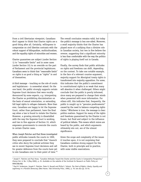From a civil libertarian viewpoint, Canadians don't appear to think that Charter rights are a good thing after all. Certainly, willingness to compromise on civil liberties contrasts with the robust support of bilingualism, multiculturalism, and the equality rights of minorities and women.

Charter guarantees are subject (under Section 1) to "reasonable limits" and in some cases (under Section 33) to an override on the part of Parliament and the provincial legislatures. Canadians seem to think that "reasonable limits" on rights is as good a thing as "rights" in and of themselves.

A third message – touching on the role of courts and legislatures – is somewhat mixed. On the one hand, the public strongly supports certain Supreme Court decisions that were vocally denounced by some experts, *e.g.* interpreting the Charter as prohibiting discrimination on the basis of sexual orientation, or extending full legal rights to refugee claimants. More than ever, Canadians are happy to let the Supreme Court, rather than parliament, have the final say when a law is found to violate the Charter. However, a growing minority is dissatisfied with the way the Supreme Court is working, and two in five approve of Section 33, which empowers governments to overrule the courts in certain Charter cases.

When Joseph Fletcher and Paul Howe investigated public attitudes towards the courts in 1999, they were prepared to conclude that "staunch critics who decry the judicial activism they see in recent Supreme Court decisions and call for greater deference from the courts have yet to win Canadians over to their point of view."4

The overall conclusion remains valid, but today the public's message is less one-sided. Moreover, a small majority thinks that the Charter has played more of a unifying than a divisive role in Canadian society, but two in five believe the reverse, suggesting that a significant minority is less than comfortable with the way the politics of rights is playing itself out in Canada.

Finally, the survey finds that public attitudes on rights and freedoms can shift, depending on the context. To take one notable example, in the face of a relevant counter-argument, majority support for Aboriginal treaty rights is transformed into majority opposition. For some, this indicates that the public's commitment to constitutional rights is so weak that many will abandon it when challenged. Others might conclude that the public is poorly informed, since many are prepared to change their minds when presented with more information. For others still, this indicates that, frequently, the public is caught up in "genuine predicaments" caused by the need to balance competing rights claims.5 Whichever is true, the message is clear: politics matters. Support for many of the rights and freedoms guaranteed by the Charter is not frozen, but fluid and subject to the influence of political debate. This means which voices are heard by the public, and which arguments ultimately win out, are of the utmost significance.

Given the scope and complexity of the issues it touches upon, it is not surprising that Canadians combine strong support for the Charter, both in principle and in practice, with some visible reservations.

<sup>4</sup> Joseph F. Fletcher and Paul Howe, "Canadian Attitudes Toward the Charter and the Courts in Comparative Perspective," *Choices* Vol. 6, No. 3 (May 2000), p. 25. Available on the website of the Institute for Research on Public Policy at www.irpp.org.

<sup>5</sup> Paul M. Sniderman, Jospeh F. Fletcher, Peter H. Russell and Philip E. Tetlock, *The Clash of Rights: Liberty, Equality and Legitimacy in a Pluralist Democracy* (New Haven, Yale University Press, 1996), p. 79; see also pp. 53-54.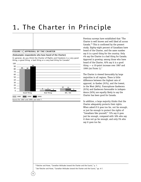# 1. The Charter in Principle

### **FIGURE 1 APPROVAL OF THE CHARTER**

### **(Subsample: respondents who have heard of the Charter)**

In general, do you think the Charter of Rights and Freedoms is a very good thing, a good thing, a bad thing or a very bad thing for Canada?



Source for 1987 and 1999: see note 7.

8

Previous surveys have established that "The Charter is well known and well liked all across Canada."6 This is confirmed by the present study. Eighty-eight percent of Canadians have heard of the Charter, and the same number say it is a good thing for the country. Only 4% say the Charter is a bad thing for Canada. Approval is growing: among those who have heard of the Charter, 92% say it is a good thing — a 10-point increase over 1987 and 1999 (SEE FIGURE 1).7

The Charter is viewed favourably by large majorities in all regions. There is little difference between the highest rate of approval, in Quebec (91%), and the lowest, in the West (86%). Francophone Quebecers (91%) and Quebecers favourable to independence (92%) are equally likely to say the Charter has been good for Canada.

In addition, a large majority thinks that the Charter adequately protects their rights. When asked if it goes too far, not far enough, or just far enough to protect the rights of "Canadians like yourself," 72% say it goes just far enough, compared with 18% who say it does not go far enough, and only 5% who say it goes too far.

<sup>6</sup> Fletcher and Howe, "Canadian Attitudes toward the Charter and the Courts," p. 7.

<sup>7</sup> See Fletcher and Howe, "Canadian Attitudes toward the Charter and the Courts," pp. 6-7.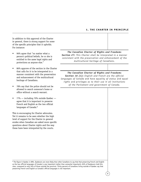# **1. THE CHARTER IN PRINCIPLE**

In addition to this approval of the Charter in general, there is strong support for some of the specific principles that it upholds. For instance:

- 96% agree that "no matter what a person's political beliefs, he or she is entitled to the same legal rights and protections as anyone else."
- 86% approve of the section in the Charter that calls for it to be interpreted in a manner consistent with the preservation and enhancement of the multicultural heritage of Canadians.
- 78% say that the police should not be allowed to search someone's home or office without a search warrant.
- 77% including 70% outside Quebec agree that it is important to preserve French and English as the two official languages of Canada.<sup>8</sup>

This is encouraging for Charter advocates. Yet it remains to be seen whether the high level of support for the Charter in general erodes when Canadian are asked more specific questions about Charter rights and the way these have been interpreted by the courts.

*The Canadian Charter of Rights and Freedoms Section 27: This Charter shall be interpreted in a manner consistent with the preservation and enhancement of the multicultural heritage of Canadians.*

*The Canadian Charter of Rights and Freedoms Section 16 (1): English and French are the official languages of Canada and have equality of status and equal rights and privileges as to their use in all institutions of the Parliament and government of Canada.*

8 The figure in Quebec is 98%. Quebecers are more likely than other Canadians to say that that preserving French and English as the two official languages of Canada is *very* important (rather than *somewhat* important): 82% of Quebecers hold this view, compared to only 34% of those outside the province. Thirty percent of Canadians living outside of Quebec say that preserving French and English as Canada's official languages is not important.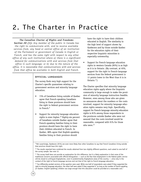# 2. The Charter in Practice

# *The Canadian Charter of Rights and Freedoms*

*Section 20 (1): Any member of the public in Canada has the right to communicate with, and to receive available services from, any head or central office of an institution of the Parliament or government of Canada in English or French, and has the same right with respect to any other office of any such institution where a) there is a significant demand for communications with and services from that office in such language; or b) due to the nature of the office, it is reasonable that communications with and services from that office be available in both English and French.*

# **OFFICIAL LANGUAGES**

The survey finds very high support for the Charter's specific guarantees relating to government services and minority language education.

- 73% of Canadians living outside of Quebec agree that French-speaking Canadians living in these provinces should have the right to federal government services in French.<sup>9</sup>
- Support for minority language education rights is even higher.<sup>10</sup> Eighty-six percent of Canadians outside Quebec agree that French-speaking families living in their province should have the right to have their children educated in French. In Quebec, 88% agree that English-speaking families living in their province should

have the right to have their children educated in English. The similarity in the high level of support shown by Quebecers and by those outside Quebec for the education rights of their respective linguistic minorities is especially noteworthy.

• Support for French-language education rights in western Canada (85%) is as high as it is in Ontario. (By contrast, at 65%, support for the right to French-language services from the federal government is 11 points lower in the West than it is in Ontario. $11$ )

The Charter specifies that minority language education rights apply where the linguistic community is large enough to make the provision of minority language instruction feasible. However, even among those who are given no assurances about the numbers or the costs involved, support for minority language education rights remains very high. Specifically, support for French-language minority education rights is 81% among those respondents in the provinces outside Quebec who were *not* assured that the costs involved would be reasonable, compared with 91% for those who were.<sup>12</sup>

<sup>12</sup> Two differently-worded versions of the question were used. While one-half of respondents were asked if they supported the right to minority language education, the other half were asked if they supported it "as long as the number of French-speaking [in Quebec: English-speaking] children was large enough that this education could be provided at a reasonable cost."

<sup>9</sup> Not surprisingly, Quebecers (91%) are even more likely than other Canadians to say that French Canadians living outside that province should have this right.

<sup>&</sup>lt;sup>10</sup> The results reported here combined the results obtained from two slightly different questions, each asked to one-half of the survey sample. See note 12.

<sup>&</sup>lt;sup>11</sup> The survey itself does not provide an explanation for this difference, but it a likely explanation is that some of the traditional concerns associated with official bilingualism — such as the fear that employment in the federal public service will be closed to unilingual Anglophones, even in predominantly Anglophone areas of the country — arise only in the context of the right to French-language services and not that of the right to French-language education.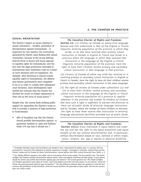# **SEXUAL ORIENTATION**

The Charter's impact on issues relating to sexual orientation – notably, prevention of discrimination against homosexuals – is important for two reasons: the controversy generated by Charter cases dealing with sexual orientation, because of the strong feelings held by those in favour and those opposed to equality rights for homosexuals; and the fact that the legal protections extended to homosexuals have sometimes come as a result of court decisions and not legislation. For example, after declining to extend certain equality rights to homosexuals, the Alberta and Ontario governments were compelled to do so in order to comply with subsequent court decisions. Such developments have fuelled the criticism that the Charter has allowed the courts to eclipse legislatures in their role as the locus of social policy.<sup>13</sup>

Despite this, the survey finds striking public support for expanding the Charter's scope so that it provides a measure of legal protection to homosexuals:

• 68% of Canadians say that the Charter should prohibit discrimination against, or guarantee equality to, gays and lesbians, while 27% say that it should not.<sup>14</sup>

# *The Canadian Charter of Rights and Freedoms*

*Section 23: (1) Citizens of Canada a) whose first language learned and still understood is that of the English or French linguistic minority population of the province in which they*

*reside, or b) who have received their primary school instruction in Canada in English or French and reside in a province where the language in which they received that instruction is the language of the English or French linguistic minority population of the province, have the right to have their children receive primary and secondary*

*school instruction in that language in that province.*

*(2) Citizens of Canada of whom any child has received or is receiving primary or secondary school instruction in English or French in Canada, have the right to have all their children receive primary and secondary school instruction in the same language.*

*(3) The right of citizens of Canada under subsections (1) and (2) to have their children receive primary and secondary school instruction in the language of the English or French*

*linguistic minority population of a province a) applies wherever in the province the number of children of citizens who have such a right is sufficient to warrant the provision to them out of public funds of minority language instruction; and b) includes, where the number of those children so warrants, the right to have them receive that instruction in minority language educational facilities provided out of public funds.*

# *The Canadian Charter of Rights and Freedoms*

*Section 15(1): Every individual is equal before and under the law and has the right to the equal protection and equal benefit of the law without discrimination and, in particular, without discrimination based on race, national or ethnic origin, colour, religion, sex, age or mental or physical disability.*

<sup>13</sup> Christopher Manfredi argues that the Alberta case alluded to here "represented the boldest step" in a process that has promoted the "transition from legislative to judicial supremacy in Canada." Christopher P. Manfredi, *Judicial Power and the Charter: Canada and the Paradox of Liberal Constitutionalism*, second edition (Don Mills: Oxford University Press, 2001), p. 5.

<sup>14</sup> Two slightly different questions were asked, each to one-quarter of the survey sample. The first question was: *"the Charter of Rights and Freedoms prohibits discrimination against women, ethnic and religious minorities and other groups. In your opinion, should the Charter also prohibit discrimination against gays and lesbians?"* The second question was *"the Charter of Rights and Freedoms guarantees equal rights for women, ethnic and religious minorities and other groups. In your opinion, should the Charter also guarantee equal rights for gays and lesbians?"* The only difference between these two questions is that the first mentions the prohibition of discrimination, while the second mentions the guarantee of equal rights. But the two versions gave very similar results.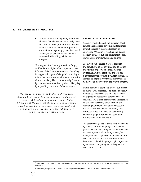• A separate question explicitly mentioned the fact that the courts had already ruled that the Charter's prohibition of discrimination should be extended to prohibit discrimination against gays and lesbians.<sup>15</sup> Seventy-eight percent of respondents agree with this ruling, while 20% disagree.

That support for Charter protections for gays and lesbians is higher when respondents are informed of the Court's position is worth nothing. It suggests that part of the public is willing to follow the Court's lead on this issue. It also indicates that the public is not necessarily disturbed by court decisions that directly alter public policy by expanding the scope of Charter rights.

# *The Canadian Charter of Rights and Freedoms*

*Section 2: Everyone has the following fundamental freedoms: a) freedom of conscience and religion; b) freedom of thought, belief, opinion and expression, including freedom of the press and other media of communication; c) freedom of peaceful assembly; and d) freedom of association.*

12

# **FREEDOM OF EXPRESSION**

The survey asked about two different court rulings that declared government legislation invalid because it violated freedom of expression.16 The first, recalling the Court's decision to throw out the government's ban on tobacco advertising, read as follows:

*The government passed a law to prohibit the advertising of tobacco products to reduce the number of people in Canada harmed by tobacco. But the court said the law was unconstitutional because it violated the tobacco companies' right to freedom of expression. Do you agree or disagree with the court's decision?*

Public opinion is split: 51% agree, but almost as many (47%) disagree. The public is clearly divided as to whether the right to freedom of expression necessarily outweighs other concerns. This is even more obvious in responses to the next question, which recalled the federal government's initially unsuccessful bid to restrict the amount of money that interest groups can spend on advertising supporting a political party or candidate during an election campaign:

*The government passed a law to limit the amount of money that interest groups can spend on political advertising during an election campaign to prevent groups with a lot of money from having too much influence on an election. But the court said the law was unconstitutional because it violated the groups' right to freedom of expression. Do you agree or disagree with the court's decision?*

<sup>15</sup> This question was asked to the one-half of the survey sample that did not received either of the two questions described in note 14.

<sup>16</sup> The survey sample was split in half, and each group of respondents was asked one of the two questions.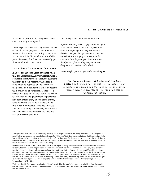A sizeable majority (61%) *disagree* with the Court, and only 37% agree.<sup>17</sup>

These responses show that a significant number of Canadians are prepared to compromise on freedom of expression, according to circumstances. As will be discussed in Part 3 of this paper, however, this does not necessarily put them at odds with the Charter.

# **THE RIGHTS OF REFUGEE CLAIMANTS**

In 1985, the Supreme Court of Canada ruled that the Immigration Act was unconstitutional because it effectively denied refugee claimants the right to a fair hearing.<sup>18</sup> As a result, they could be deprived of the "security of the person" in a manner that is not in keeping with principles of fundamental justice – a violation of Section 7 of the Charter. To comply with the ruling the government implemented new regulations that, among other things, gave claimants the right to appeal if their initial claim is rejected. This decision was applauded by refugee advocates, but criticized by others because it increases the time and cost of processing claims.19

The survey asked the following question:

*A person claiming to be a refugee said his rights were violated because he was not given a fair chance to argue against the government's decision to deport him from Canada. The Court agreed with him saying that everyone in Canada – including refugee claimants – has the right to a fair hearing. Do you agree or disagree with the Court's decision?*

Seventy-eight percent agree while 21% disagree.

*The Canadian Charter of Rights and Freedoms Section 7: Everyone has the right to life, liberty and security of the person and the right not to be deprived thereof except in accordance with the principles of fundamental justice.*

<sup>&</sup>lt;sup>17</sup> Disagreement with what the court actually said may not be as pronounced as the survey indicates. The court upheld the principle that governments can regulate interest group (or "third-party") election spending, but said that the monetary limits imposed in the legislation before it were too low. This left the door open for the government to re-enact the legislation, so long as the spending limit was raised. This is what it has done, and the validity of the new legislation is currently before the courts. None of these details were raised in the survey.

<sup>&</sup>lt;sup>18</sup> Unlike other sections of the Charter, which speak of the rights of "every citizen of Canada" or of citizens and permanent residents, Section 7 accords its protection to "everyone." The court took this to mean "every person physically present in Canada" – including refugee claimants. Accordingly, the court ruled that the immigration act *should* "provide the refugee claimant with an adequate opportunity to state his case and to know the case he has to meet" – but that it did not. Under the law, an application "will usually be rejected before the refugee claimant has even had an opportunity to discover the Minister's case against him in the context of a hearing." "Such procedures," the court explained, "do not accord the refugee claimant fundamental justice and are incompatible with s. 7 of the *Charter*." See: Singh v. Minister of Employment and Immigration, [1985] 1 S.C.R.

<sup>19</sup> Alex Macdonald, for instance, speaks of the "havoc" wreaked by the court's "constitutional mischief." Alex Macdonald, *Outrage: Canada's Justice System on Trial* (Vancouver, Raincoast Books: 2000), pp. 66-68. See also Manfredi, *Judicial Power and the Charter*, p. 154.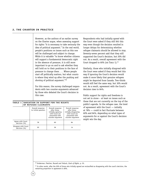However, as the authors of an earlier survey on the Charter argue, when assessing support for rights "it is necessary to take seriously the idea of political argument." In the real world, people's positions on issues such as this one will be challenged and subject to change. While it is valuable "to know whether citizens will support a fundamental democratic right in the absence of pressure, it is still more important to go on and to ask whether they will hold on to their positions in the face of pressure to change them . . . Where people start off politically matters, but what counts is where they wind up after the pushing and shoving of political argument."20

For this reason, the survey challenged respondents with two counter-arguments advanced by those who debated the Court's decision in this case.

# **TABLE 1 VARIATION IN SUPPORT FOR THE RIGHTS OF REFUGEE CLAIMANTS**

14

|                                     | Overall response<br>to initial question | Overall response<br>after those<br>initially <i>agreeing</i><br>with Court are<br>presented with<br>counter-argument | Overall response<br>after those<br>initially disagreeing<br>with Court are<br>presented with<br>counter-argument |  |
|-------------------------------------|-----------------------------------------|----------------------------------------------------------------------------------------------------------------------|------------------------------------------------------------------------------------------------------------------|--|
| Agree with Court<br>decision (%)    | 78                                      | 60                                                                                                                   | 84                                                                                                               |  |
| Disagree with Court<br>decision (%) | 20                                      | 36                                                                                                                   | 14                                                                                                               |  |

Respondents who had initially *agreed* with the Court were asked if they still felt this way even though the decision resulted in longer delays for determining whether refugee claimants should be allowed to stay. Seventy-seven percent said that they still supported the Court's decision, but 20% did not. As a result, overall agreement with the Court dropped to 60% (SEE TABLE 1).<sup>21</sup>

Similarly, those who initially *disagreed* with the Court were asked if they would feel this way if ignoring the Court's decision would make it more likely that genuine refugees might be deported from Canada. Two-thirds would still feel the same way, but 30% would not. As a result, agreement with the Court's decision rises to 84%.

Public support for rights and freedoms is not set in stone – at least on issues such as these that are not currently on the top of the public's agenda. In the refugee case, the level of agreement with the Court — initially at 78% — could in fact fluctuate between 60% and 84%, depending on what types of arguments for or against the Court's decision might win the day.

<sup>20</sup> Sniderman, Fletcher, Russell and Tetlock, *Clash of Rights*, p. 55.

 $21$  In other words, after the 20% of those who initially agreed are reclassified as disagreeing with the court's decision, the remaining proportion in agreement is 60%.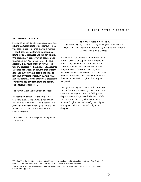# **ABORIGINAL RIGHTS**

Section 35 of the Constitution recognizes and affirms the treaty rights of Aboriginal peoples.<sup>22</sup> This section has come into play in a number of court decisions pertaining to Aboriginal rights to land, resources and self-government. One particularly controversial decision was that taken in 1999 in the case of Donald Marshall, a Mi'kmaq living in Nova Scotia who was arrested for fishing illegally. Marshall defended his actions by arguing that a treaty signed in 1760 gave his people the right to fish, and, by virtue of section 35, this right had constitutional status that gave it precedence over provincial laws regulating the fishery. The Supreme Court agreed.

The survey asked the following question:

*An Aboriginal person was caught fishing without a license. The Court did not convict him because it said that a treaty between his people and the government gave him the right to fish. Do you agree or disagree with the Court's decision?*

Fifty-seven percent of respondents agree and 41% disagree.

*The Constitution Act, 1982 Section 35(1): The existing aboriginal and treaty rights of the aboriginal peoples of Canada are hereby recognized and affirmed.*

It is notable that support for Aboriginal treaty rights is lower than support for the rights of official language minorities, for the Charter clause relating to multiculturalism, and for the prohibition of discrimination against homosexuals. This confirms that the "tolerance instinct" in Canada tends to reach its limits in the case of the distinct rights of Aboriginal peoples.<sup>23</sup>

The significant regional variation in responses are worth noting. A majority (55%) in Atlantic Canada – the region where the fishing rights dispute arose – *disagree* with the Court while 43% agree. In Ontario, where support for Aboriginal rights has traditionally been highest, 67% agree with the court and only 30% disagree.

 $22$  Section 35 of the Constitution Act of 1982, which relates to Aboriginal and treaty rights, is not part of the Charter of Rights and Freedoms. The Charter includes the first 34 sections of the 1982 Constitution Act.

<sup>23</sup> Darrell Bricker and Edward Greenspon, *Searching for Certainty: Inside the New Canadian Mindset* (Toronto, Doubleday Canada, 2001), pp. 276-78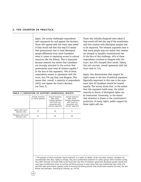Again, the survey challenged respondents with arguments for and against the decision. Those who agreed with the Court were asked if they would still feel this way if it meant that governments had to treat Aboriginal people differently from other Canadians when it comes to regulating access to natural resources like the fishery. This is important because research has shown that Canadians are strongly attached to the notion that governments must treat all citizens equally.24 In the face of this argument, 70% of these respondents remain in agreement with the Court, but 27% say they now disagree. This means that, overall, a majority of respondents (56%) now *oppose* the Court's decision (SEE TABLE 2).

|  |  | TABLE 2   VARIATION IN SUPPORT ABORIGINAL RIGHTS |  |  |
|--|--|--------------------------------------------------|--|--|
|--|--|--------------------------------------------------|--|--|

16

|                                        | Overall response<br>to initial question | Overall response<br>after those<br>initially <i>agreeing</i><br>with Court are<br>presented with<br>counter-argument | Overall response<br>after those<br>initially disagreeing<br>with Court are<br>presented with<br>counter-argument |
|----------------------------------------|-----------------------------------------|----------------------------------------------------------------------------------------------------------------------|------------------------------------------------------------------------------------------------------------------|
| Agree with Court<br>decision $(% )$    | 57                                      | 40                                                                                                                   | 71                                                                                                               |
| Disagree with Court<br>decision $(% )$ | 41                                      | 56                                                                                                                   | 25                                                                                                               |

Those who initially disagreed were asked if they would still feel this way if the constitution said that treaties with Aboriginal peoples had to be respected. The relevant argument here is that many people may not realize that treaties are integral to Canada's constitutional law. In the face of this challenge, 62% of these respondents continue to disagree with the Court, but 35% changed their minds. Taking this into account, overall agreement with the Court rises to 71%.

Again, this demonstrates that support for rights varies in the face of political argument. Especially important in this case is the argument that all Canadians should be treated equally. The survey shows that, to the extent that this argument holds sway, the initial majority in favour of Aboriginal rights can be overturned. Conversely, to the extent that attention is drawn to the constitution's protection of treaty rights, public support for these rights will rise.

 $24$  The question of what constitutes "equal treatment" is a matter for debate. At the very least, however, Canadians are uncomfortable with what, rightly or wrongly, they see as preferential treatment for certain groups within Canadian society. Thus CRIC's Portraits of Canada 2000 survey found that only 30% of Canadians agreed that Aboriginal peoples should have some type of preferential access to hunting and fishing grounds in areas where they have traditionally lived, while 67% said that when governments regulate access to hunting and fishing grounds, they should treat everyone the same. See also Bricker and Greenspon, *Searching for Certainty*, pp. 276-78.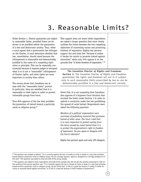# 3. Reasonable Limits?

Under Section 1, Charter guarantees are subject to reasonable limits, provided these can be shown to be justified within the parameters of a free and democratic society. Thus, when a court agrees that a government law infringes on the Charter, it must determine whether that law, nonetheless, should stand because the infringement is reasonable and demonstrably justified in the name of a competing right, value or principle. This can be especially controversial because it requires judges to interpret what is or is not a "reasonable" infringement of Charter rights, and what rights are more important to society than others.

The survey shows that Canadians are at ease with the "reasonable limits" proviso. In particular, they are satisfied that it is reasonable to limit rights in order to protect vulnerable groups from harm.

Thus 85% approve of the law that prohibits the promotion of hatred toward a particular racial or religious group.25

This support does not waver when respondents are asked a longer question that more clearly outlines the choice between the two competing objectives of countering racism and protecting freedom of expression. Eighty-two percent support the anti-hate law "because it makes it harder for racists to promote hatred against minorities" while only 15% oppose it on the grounds that "it limits freedom of expression." 26

*The Canadian Charter of Rights and Freedoms Section 1: The Canadian Charter of Rights and Freedoms guarantees the rights and freedoms set out in it subject only to such reasonable limits prescribed by law as can be demonstrably justified in a free and democratic society.*

Given this, it is not surprising that Canadians also approve of a Supreme Court decision that invoked the limits under Section 1 in order to uphold a conviction under the law prohibiting the spread of racial hatred. Respondents were asked the following question:

*Members of a political organization were convicted of publishing material that promotes hatred of other races. The Court ruled that it is more important to protect society from the harm caused by racial hatred than it is to protect the organization's right to freedom of expression. Do you agree or disagree with the Court's decision?*

Eighty-two percent agree and only 16% disagree.

 $25$  The question was worded as follows: "It is currently against the law in Canada to write or speak in a way that promotes hatred toward a particular racial or religious group. Do you strongly approve, approve, disapprove or strongly disapprove of this law?" This question was asked to only one-half of the survey sample.

 $26$  This question was asked to those respondents (one-half of the sample) who did not get the question presented in note 25. The wording of the second question was: "It is currently against the law in Canada to write or speak in a way that promotes hatred toward a particular racial or religious group. Do you think that: 1) this is a good law because it makes it harder for racists to promote hatred against minorities, or 2) this is a bad law because it limits freedom of expression?"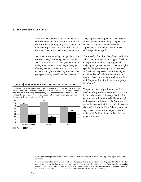# **3. REASONABLE LIMITS?**

Similarly, over two-thirds of Canadians agree with the Supreme Court that it is right to ban certain forms of pornography even though this limits the right to freedom of expression. In this case, the question read to respondents was:

*The owner of a store selling pornographic videos was convicted of distributing obscene material. The Court ruled that it is more important to protect society from the harm caused by pornography that degrades women than it is to protect the store owner's right to freedom of expression. Do you agree or disagree with the Court's decision?*

### **FIGURE 2 PORNOGRAPHY AND FREEDOM OF EXPRESSION**

The owner of a store selling pornographic videos was convicted of distributing obscene material. The court ruled that it is more important to protect society from the harm caused by pornography that degrades women than it is to protect the store owner's right to freedom of expression. Do you agree or disagree with the court's decision?



18

Sixty-eight percent agree, and 30% disagree. Women are much more likely to agree with the Court than are men (SEE FIGURE 2). Agreement with the Court also increases with respondents' age.<sup>27</sup>

These results should not be taken as an indication that Canadians do not support freedom of expression. Rather, they suggest that a majority recognizes the need to balance rights specifically guaranteed by the Charter, such as freedom of expression, with other rights or values deemed to be fundamental to a free and democratic society, such as equality and the protection of individuals and groups from harm.28

The public is not only willing to restrict freedom of expression in certain circumstances, it also believes that it is acceptable for the government to impose broader limits on rights and freedoms in times of crisis. Two-thirds of respondents agree that it is all right to suspend the usual civil rights, if the federal government says there is a national emergency, and a majority in Parliament agrees. Twenty-eight percent disagree.

<sup>27</sup> Responses to the previous question dealing with the promotion of racial hatred did not vary according to respondents' sex or age.

<sup>28</sup> The survey also indicates that Canadians will not automatically defer to the Court's wisdom; they support the Court only when they think they strike the right balance between competing claims. Recall the opposition to the Court's decision overturning the limits on third-party election advertising, discussed above. In that case, a majority of respondents disagreed with the Court's decision that the limitation on the right of freedom of expression was *not* reasonable.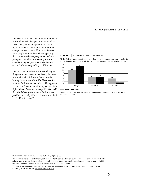# **3. REASONABLE LIMITS?**

The level of agreement is notably higher than it was when a similar question was asked in 1987. Then, only 52% agreed that it is all right to suspend civil liberties in a national emergency (SEE FIGURE 3).<sup>29</sup> In 1987, however, more people were undecided – suggesting that the very real emergency of September 11 prompted a number of previously unsure Canadians to give government the benefit of the doubt on suspending civil liberties.

The fact that Canadians are prepared to give the government considerable leeway is consistent with what is known about Canadian history. Invocation of the War Measures Act in 1970, for instance, met with public approval at the time,<sup>30</sup> and even with 10 years of hindsight, 58% of Canadians surveyed in 1981 said that the federal government's decision was justified, and only 23% said it was unjustified (19% did not know). $31$ 

### FIGURE 3 SUSPEND CIVIL LIBERTIES?

If the federal government says there is a national emergency, and a majority in parliament agrees, is it all right or not to suspend the usual civil rights?



### **1987 2002**

Source for 1987: see note 29. Note: the wording of the question asked in these years was slightly different.

# 29 Sniderman, Fletcher, Russell and Tetlock, *Clash of Rights*, p. 38

<sup>30</sup> "The immediate responses to the imposition of the War Measures Act were heaviliy positive. The prime minister not only enjoyed popular support in the public opinion polls, but also won a near-unanimous parliamentary vote in which only NDP members dissented." Sniderman, Fletcher, Russell and Tetlock, *Clash of Rights*, p. 37.

<sup>31</sup> Source: Environics Research Group. The data were made available by the Canadian Public Opinion Archive at Queen's University, Kingston, Ontario (http://queensu.ca/cora).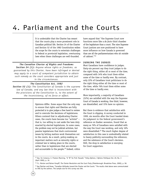# 4. Parliament and the Courts

It is undeniable that the Charter has meant that the courts play a more prominent role in Canadian political life. Section 24 of the Charter and Section 52 of the 1982 Constitution widen the scope for the courts to entertain challenges to federal or provincial legislation, overturning laws when these challenges are well-founded.

# *The Canadian Charter of Rights and Freedoms*

*Section 24 (1): Anyone whose rights or freedoms, as guaranteed by this Charter, have been infringed or denied may apply to a court of competent jurisdiction to obtain such remedy as the court considers appropriate and just in the circumstances.*

# *The Constitution Act, 1982*

*Section 52 (1): The Constitution of Canada is the supreme law of Canada, and any law that is inconsistent with the provisions of the Constitution is, to the extent of the inconsistency, of no force or effect.*

> Opinions differ. Some argue that the only way to ensure that rights and liberties are fully protected is to give judges a free hand to review and to overrule the decisions of legislatures. Others contend that in adjudicating Charter cases, the courts have become too "activist" – that is, too willing to cast aside the laws duly enacted by elected legislatures. In some cases, the problem may not be judicial activism, but passive legislatures that duck controversial issues by letting matters work themselves out in the courts. As a result, policy-making on important matters such as minority rights or criminal law is taking place in the courts, rather than in legislatures that are elected and accountable to the people.<sup>32</sup> Indeed, critics

have argued that "the Supreme Court now functions more like a *de facto* third chamber of the legislature than a court. The nine Supreme Court justices are now positioned to have more influence on how Canada is governed than are all the parliamentarians who sit outside of cabinet."33

# **JUDGING THE JUDGES**

Most Canadians have confidence in judges. Sixty-six percent say they trust judges to do the right thing, either all or most of the time, compared with 34% who trust them either some of the time or hardly ever. By contrast, only 22% of Canadians trust politicians to do the right thing either all the time or most of the time, while 76% trust them either some of the time or hardly ever.

More importantly, a majority of Canadians (52%) are satisfied with the way the Supreme Court of Canada is working. One third, however, are dissatisfied, and 15% have no opinion.

But there is evidence that satisfaction with the Court is slipping. A survey conducted in 1999, six months after the Court handed down its judgment in the federal government's reference on Quebec secession, found that as many as 76% of Canadians were satisfied with the way the Court was working, and only 16% were dissatisfied.<sup>34</sup> The much higher degree of satisfaction in this case is undoubtedly related to heavy publicity surrounding the reference, and the substance of the Court's decision. Still, the drop in satisfaction is worrying for Court supporters.

<sup>32</sup> See, for instance, E. Preston Manning, "A "B" for Prof. Russell," *Policy Options / Options Politiques* Vol. 20, No. 3 (April 1999), p. 16.

<sup>33</sup> F.L. Morton and Rainer Knopff, *The Charter Revolution and the Court Party* (Peterborough: Broadview Press, 2000), p. 58.

<sup>&</sup>lt;sup>34</sup> See Fletcher and Howe, "Canadian Attitudes toward the Charter and the Courts." The results cited above were communicated to CRIC by the authors. The sample size for this survey was 594.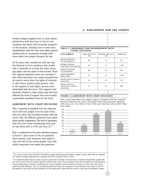Further analysis suggests that, to some extent, satisfaction with the Court is tied to how Canadians feel about their economic prospects or life situation, meaning that in some cases dissatisfaction with the Court may reflect general malaise and not necessarily strongly-held views about how judges interpret the law.

At the same time, satisfaction with the way the Supreme Court is working is also closely tied to attitudes on at least two other issues: gay rights; and the rights of the accused. Those who oppose legalizing same-sex marriage, 35 who think that police are unduly hampered by the need to worry about the rights of criminals, or who favour greater police powers, even at the expense of civil rights, are also more *dissatisfied* with the Court. This suggests that decisions relating to these issues may well have affected the level of support that more socially conservative Canadians have for the Court.

# **AGREEMENT WITH COURT DECISIONS**

That a majority is satisfied with the Supreme Court and trust judges to do the right thing does not mean that Canadians always take the Court's side. Six different questions were asked about specific judgements. The level of agreement with the Court varies considerably from case to case (from 82% to 37%) (SEE TABLE 3).36

This is confirmed by the more detailed analysis in FIGURE 4. Since some of the six questions about specific court decisions were asked to only one-half of the survey sample, each individual respondent was asked four questions

### **TABLE 3 AGREEMENT AND DISAGREEMENT WITH COURT DECISIONS**

| <b>Court Judgment</b>                                      | Agree with Court<br>(%) | Disagree with Court<br>(%) | Sample Size |  |
|------------------------------------------------------------|-------------------------|----------------------------|-------------|--|
| Uphold prohibition<br>of hate litterature                  | 82                      | 16                         | 711         |  |
| Refugee claimants<br>have right to fair hearing            | 78                      | 21                         | 1,402       |  |
| Uphold restrictions<br>on pornography                      | 68                      | 30                         | 691         |  |
| Uphold Aboriginal<br>treaty rights                         | 57                      | 41                         | 1,402       |  |
| Overturn ban on tobacco<br>advertisinq                     | 51                      | 47                         | 715         |  |
| Overturn limit on<br>"third party" election<br>advertisinq | 37                      | 61                         | 687         |  |
|                                                            |                         |                            |             |  |

### **FIGURE 4 AGREEMENT WITH COURT DECISIONS**

Each survey respondent was asked to agree or disagree with four separate decisions taken by the courts. This figure shows the proportion agreeing with none, one, two, three or four of the court decisions about which they were asked.



<sup>&</sup>lt;sup>35</sup> The current survey shows that 53% of Canadians support allowing gay and lesbian couples to marry, while 40% are opposed. The number strongly opposed (21%) is greater than that strongly in favour (15%).

<sup>&</sup>lt;sup>36</sup> In interpreting these figures, we do not place a great deal of weight on the fact that a majority of respondents agreed with the court on five of the six specific questions asked in the survey. The six questions were not intended to be representative of the overall pattern of decision-making by the courts. Arguably, had the questions touched on other cases, the results could have been different. Thus, we are drawing attention only to the responses to the individual cases raised in each of the questions, and to the fact that Canadians on the whole tend to agree with the court in some cases but disagree in others.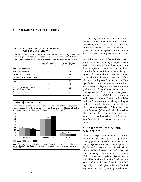# **4. PARLIAMENT AND THE COURTS**

### **TABLE 4 FACTORS INFLUENCING AGREEMENT WITH COURT DECISIONS**

(Table shows the percentage of those holding each view who agree with the Court in a given number of the cases about which they were asked. Note that none of these cases touched on the issues of gay rights or police powers.)

|                                                           | Agree with court in<br>Agree with court in<br>0 or 1 out of 4 cases<br>3 or 4 out of 4 cases |    |  |  |
|-----------------------------------------------------------|----------------------------------------------------------------------------------------------|----|--|--|
| Charter is a good thing                                   | 13                                                                                           | 55 |  |  |
| Charter is a bad thing                                    | 28                                                                                           | 37 |  |  |
| Satisfied with Supreme Court                              | 12                                                                                           | 58 |  |  |
| Dissatisfied with Supreme Court                           | 17                                                                                           | 46 |  |  |
| Support same-sex marriage                                 | 11                                                                                           | 58 |  |  |
| Oppose same-sex marriage                                  | 17                                                                                           | 48 |  |  |
| Respect civil liberties even if<br>some criminals go free | 11                                                                                           | 61 |  |  |
| More police power even if<br>less civil liberties         | 16                                                                                           | 49 |  |  |
|                                                           |                                                                                              |    |  |  |

# **FIGURE 5 WHO DECIDES?**

When Parliament passes a law but the Supreme Court of Canada says it is unconstitutional on the grounds that it conflicts with the Charter of Rights, who should have the final say, Parliament or the Supreme Court?



Source for 1987 and 1999: Fletcher and Howe, "Canadian Attitudes Toward the Charter and the Courts," p.11. Note: the wording of the question asked in these years was slightly different.

22

in total. Very few respondents disagreed with the Court in each of the four cases with which they were presented; relatively few (only 16%) agreed with the Court every time. Eighty-two percent of Canadians agreed with the Court in some instances and disagreed with it in others.

While those who are satisfied with their own life situation are more likely to express general satisfaction with the Court, they are *not* more likely to agree with particular court decisions. But other factors do influence the tendency to agree to disagree with the courts (SEE TABLE 4). Approval of the Charter and levels of satisfaction with the Supreme Court play a role. More specific factors are the respondent's position on same-sex marriage and the need for greater police powers. Those who oppose same-sex marriage and who favour greater police powers, even at the expense of civil liberties – who were earlier seen to be more likely to be dissatisfied with the Court – are also more likely to disagree with the Court's decisions in other kinds of cases that they were asked about. This suggests that some Canadians (albeit a minority) hold values that lead them to be more distrusting of the Court, or at least less inclined to defer to the Court's wisdom in the cases discussed in the survey.

# **THE COURTS VS. PARLIAMENT: WHO DECIDES?**

Whether in the process of interpreting the Charter, the courts have come to play too big a role in making public policy and have encroached on the prerogatives of Parliament and the provincial legislatures has been the object of much debate. Most Canadians, however, are comfortable with the Court acting as the final arbiter: 71% say that if the Supreme Court declares a law unconstitutional because it conflicts with the Charter, the Court, and not Parliament, should have the final say. Only 24% would give Parliament the final say. Moreover, the proportion giving the final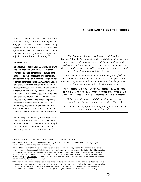say to the Court is larger now than in previous years (SEE FIGURE 5). As the authors of a previous study put it, "Canadians continue to show strong respect for the right of the courts to strike down legislation they deem unconstitutional… [T]here is no evidence that a groundswell of opposition to judicial authority is in the offing."37

# **SECTION 33**

The Supreme Court of Canada does not always have the final say. Section 33 – the famous "override" or "notwithstanding" clause of the Charter — allows Parliament or a provincial legislature to temporarily suspend the application of certain other sections of the Charter to uphold a law that, otherwise, would be found to be unconstitutional because it violates one of those sections.<sup>38</sup> In some cases, Section 33 allows Parliament (or a provincial legislature) to re-enact a law that the courts have thrown out. This happened in Quebec in 1988, when the provincial government invoked Section 33 to pass its French-only outdoor sign law, even though the Supreme Court had declared that such a law violated the right to freedom of expression.

Some have speculated that, outside Quebec at least, Section 33 has become unusable because public commitment to the Charter is so strong.<sup>39</sup> Any attempt by a government to override Charter rights would be political suicide.40

# *The Canadian Charter of Rights and Freedoms Section 33 (1): Parliament or the legislature of a province may expressly declare in an Act of Parliament or of the legislature, as the case may be, that the Act or a provision thereof shall operate notwithstanding a provision included in section 2 or sections 7 to 15 of this Charter.*

*(2) An Act or a provision of an Act in respect of which a declaration made under this section is in effect shall have such operation as it would have but for the provision of this Charter referred to in the declaration.* 

*(3) A declaration made under subsection (1) shall cease to have effect five years after it comes into force or on such earlier date as may be specified in the declaration.* 

*(4) Parliament or the legislature of a province may re-enact a declaration made under subsection (1).* 

*(5) Subsection (3) applies in respect of a re-enactment made under subsection (4).*

<sup>&</sup>lt;sup>37</sup> Fletcher and Howe, "Canadian Attitudes toward the Charter and the Courts," p. 25.

<sup>&</sup>lt;sup>38</sup> Section 33 can be invoked to override the Charter's quarantee of fundamental freedoms (Section 2), legal rights (Sections 7 to 14), and equality rights (Section 15).

<sup>&</sup>lt;sup>39</sup> Howard Leeson argues that "section 33 now appears to be a paper tiger. It may become the equivalent of the powers of reservation and disallowance, available in theory, but not used in practice." Leeson, however, doubts that the public opposition is main reason why legislatures have shied away from using Section 33. See Howard Leeson, *"Section 33, the Notwithstanding Clause: A Paper Tiger?"* Choices Vol. 6, No 4 (June 2000), pp. 17-20. Available on the website of the Institute for Research on Public Policy at www.irpp.org. Christopher Manfredi gives more weight to public disapproval of the Section. See Manfredi, *Judicial Power and the Charter*, pp. 181-188.

<sup>&</sup>lt;sup>40</sup> This view was strengthened after the experience of the Alberta government, which in 1998 announced that it would invoke the notwithstanding clause to pre-empt legal challenges to a law establishing a monetary limit to the amount of compensation to be paid to mentally handicapped Albertans who had been sterilized without their consent. The public reaction against the intended use of Section 33 was so swift and strong that the government withdrew the proposal the next day.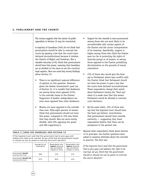# **4. PARLIAMENT AND THE COURTS**

The survey suggests that the extent of public opposition to Section 33 may be overstated.

A majority of Canadians (54%) *do not* think that governments should be able to overrule the courts by passing a law that the courts have declared unconstitutional because it violates the Charter of Rights and Freedoms. But a sizeable minority (41%) think that governments *should* have this power, meaning that Canadians are as divided on the issue as are the country's legal experts. Here are some key survey findings about Section 33:

- There is no significant regional difference of opinion on this question. However, given the Quebec Government's past use of Section 33, it is notable that Quebecers are among those most *opposed* (57%) to the override clause in the Charter. Supporters of Quebec independence are even more opposed than other Quebecers.
- Women are more opposed to the override than men. Fifty-eight percent of women think that governments should not have this power, compared to 35% who think that they should. Men are more evenly divided, with 50% opposing the power and 48% supporting it.

# TABLE 5 SAME-SEX MARRIAGE AND SECTION 33

24

If the Supreme Court said that the government had to give gays and lesbians the right to be married, do you think that the government should or should not use its power to overrule the Court's decision?

|                                             | Average for all<br>respondents | Respondents who<br>support allowing<br>gay and lesbian<br>couples to marry | Respondents who<br>oppose allowing<br>qay and lesbian<br>couples to marry |
|---------------------------------------------|--------------------------------|----------------------------------------------------------------------------|---------------------------------------------------------------------------|
| Government should<br>overrule the Court     | 28%                            | 12%                                                                        | 51%                                                                       |
| Government should not<br>overrule the Court | 67%                            | 85%                                                                        | 44%                                                                       |

- Support for the override is more pronounced among those who are most likely to be uncomfortable with certain aspects of the Charter and the courts' interpretation of its meaning. Specifically, support is higher among those who think the Charter goes too far in protecting the rights of minority groups or of women, or among those opposed to the Charter prohibiting discrimination on the grounds of sexual orientation.
- 23% of those who would give the final say to Parliament where laws conflict with the Charter think that Parliament *should not* have the power to pass a law that the courts have declared unconstitutional. These respondents change their minds about Parliament having the "final say" when it is made clear that this means Parliament would be allowed to overrule court decisions.
- By the same token, 32% of those who say that the Supreme Court should have the final say believe, nevertheless, that governments should have override authority — suggesting that these respondents believe that there can be exceptions to the general rule.

Beyond what respondents think about Section 33 in principle, two further questions were asked to examine attitudes about the override in practice. The first was:

*If the Supreme Court said that the government had to give gays and lesbians the right to be married, do you think that the government should or should not use its power to overrule the court's decision?*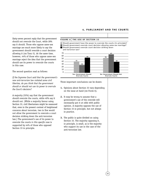# **4. PARLIAMENT AND THE COURTS**

Sixty-seven percent reply that the government should not overrule the Court, while 28% say it should. Those who oppose same-sex marriage are much more likely to say the government should override a court decision allowing it (SEE TABLE 5). At the same time, however, 44% of those who oppose same-sex marriage reject the idea that the government should use its power to overrule the courts in this case.

The second question read as follows:

*If the Supreme Court said that the government's new anti-terrorism law violated some civil liberties, do you think that the government should or should not use its power to overrule the Court's decision?*

A majority (55%) say that the government should overrule the courts, while 40% say it should not. (While a majority favour using Section 33, civil libertarians might be reassured that, even in the present context of heightened concerns about terrorism, two in five would not allow the government to overrule a court decision striking down the anti-terrorism law.) The government's use of its power to overrule the courts *in this specific case* is supported by 44% of those who opposed Section 33 in principle.

### **FIGURE 6 THE USE OF SECTION 33**

Should government have the power to overrule the courts (in principle)? Should government overrule court decision allowing same-sex marriage? Should government overrule court decision striking down anti-terrorism law?



Three important conclusions can be drawn:

- **1.** Opinions about Section 33 vary depending on the issue at hand (SEE FIGURE 6).
- **2.** It may be wrong to assume that a government's use of the override will necessarily put it at odds with public opinion. A majority opposes the use of Section 33 in principle, but not always in practice.
- **3.** The public is quite divided on using Section 33. The majority opposing it, in principle, is small, as is the majority who support its use in the case of the anti-terrorism law.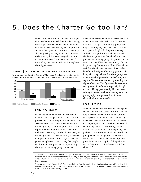# 5. Does the Charter Go too Far?

While Canadians are almost unanimous in saying that the Charter is a good thing for the country, some might also be anxious about the extent to which it has been used by certain groups to advance their particular interests. There may also be growing anxiety about how Canadian society and politics have changed as a result of the accentuated "rights consciousness" fostered by the Charter. This section explores these hypotheses.

### **FIGURE 7 THE CHARTER: TOO FAR, OR NOT FAR ENOUGH?**

In your opinion, does the Charter of Rights and Freedoms go too far, not far enough, or just far enough to protect the rights or each of the following?



# **EQUALITY RIGHTS**

Canadians *do not* think the Charter unduly favours those groups who have relied on it to protect their equality rights. Respondents were asked whether the Charter goes too far, not far enough, or just far enough to protect the rights of minority groups and of women. In each case, a majority says the Charter goes just far enough, and a sizeable minority – between one-quarter and one-third – says it does not go far enough (SEE FIGURE 7). Very few people think the Charter goes too far in protecting the rights of minority groups or women.

Previous surveys by Environics have shown that most Canadians believe that the Charter has improved the rights of minority groups, but only a minority say the same is true of their own personal rights.<sup>41</sup> The present survey adds that a majority of Canadians agree that the level of protection that the Charter has provided to minority groups is appropriate. In fact, 24% would like the Charter to go *further* in protecting these groups. Thus, if Canadians feel that the Charter has been of particular benefit to the rights of minority groups, it is likely that they believe that these groups are most in need of protection. Indeed, only 6% say the Charter goes too far in protecting the rights of women. This figure can be seen as a strong vote of confidence, especially in light of the publicity generated by Charter cases relating to matters such as human reproduction, pornography, and prosecution of those charged with sexual assault.

# **LEGAL RIGHTS**

Some of the harshest criticism leveled against the Charter and the courts' interpretations of its provisions relates to protections afforded to suspected criminals. Disbelief and outrage have been fueled by the occasional dismissal of charges against an accused on the basis of what many see as a "technicality," such as a minor transgression of Charter rights by the police or the prosecution. Such instances have prompted critics to argue that such court rulings have "transformed" criminal justice procedures "to the chagrin of the police and to the delight of criminal lawyers and their clients."42

<sup>&</sup>lt;sup>41</sup> In 1999, for instance, 61% said that the rights of minority groups had improved as a result of the Charter of Rights and Freedoms, while 20% said they had not changed and only 7% said they had deteriorated. When asked about their own personal rights, 26% said they had improved, 40% said they had not changed, and 15% said they had deteriorated. Source: Environics Research Group.

<sup>42</sup> Morton and Knopff, *Charter Revolution*, p. 20. Similarly, Alex Macdonald alleges that law enforcement officers "have had their daily work hamstrung" as the Charter rights of accused are "propped up to extraordinary heights" by judges allergic to common sense. Macdonald, *Outrage*, p. 29 and 56.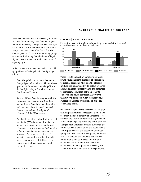As shown above in FIGURE 7, however, only one in three Canadians say that the Charter goes too far in protecting the rights of people charged with a criminal offence. Still, this represents many more than those who think that the Charter goes too far to protect minority groups or women, indicating that the issue of legal rights raises more concerns that does that of equality rights.

In fact, there is ample evidence that the public sympathizes with the police in the fight against crime:

- First, the public trusts the police more than judges and politicians. Almost threequarters of Canadians trust the police to do the right thing either all or most of the time (SEE FIGURE 8).
- Second, 69% of Canadians agree with the statement that "one reason there is so much crime in Canada is that the police and the courts have to spend too much time worrying about the rights of criminals." Only 29% disagree.
- Finally, the most revealing finding is that a majority (56%) is prepared to give the police more power to detect and arrest criminals, *even if that means that the civil rights of some Canadians might not be respected.* Forty-one percent take the opposite view, preferring that the police respect everyone's civil rights, even of that means that some criminals might escape detection.

# **5. DOES THE CHARTER GO TOO FAR?**

### **FIGURE 8 A MATTER OF TRUST**

Do you trust each of the following to do the right thing all the time, most of the time, some of the time, or hardly ever?



These results support an earlier study which found "overwhelming evidence of opposition to judicial decisions" that had the effect of limiting the police's ability to obtain evidence against criminal suspects.<sup>43</sup> And the readiness to compromise on legal rights in order to empower the police contrasts sharply with the survey's finding of much stronger public support for Charter protections of minority or equality rights.

On the other hand, as we have seen, rather than thinking that criminal suspects as a rule have too many rights, a majority of Canadians (57%) say that the Charter either goes *just far enough* or *not far enough* to protect the rights of those charged with a criminal offence. Moreover, two out of five would prefer to see the police uphold civil rights, even at the cost some criminals going free. And, earlier in the paper, we noted that 78% percent of Canadians say that the police should not be allowed to enter and search someone's home or office without a search warrant. This question, however, was asked of only one-half of survey respondents.

<sup>43</sup> Fletcher and Howe, "Canadian Attitudes toward the Charter and the Courts," p. 37.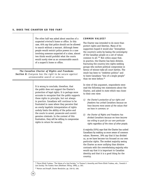The other half was asked about searches of a *suspected criminal's* home or office. In this case, 65% say that police should not be allowed to search without a warrant. Although fewer people would restrict police powers in a case involving someone suspected of a crime, almost two thirds would prohibit what the courts would surely view as an unreasonable search of a suspect's home or office.

*The Canadian Charter of Rights and Freedoms Section 8: Everyone has the right to be secure against unreasonable search or seizure.* 

> It is wrong to conclude, therefore, that the public does not support the Charter's protection of legal rights. It is perhaps more accurate to recognize that the public supports these rights in principle, but not always in practice. Canadians will continue to be frustrated in cases where they perceive that an overly legalistic interpretation of rights unduly limits the ability of the police and the courts to arrest, prosecute and convict genuine criminals. In the context of this frustration, they will be willing to compromise rights in return for security.

# **COMMON VALUES?**

The Charter was intended to do more than protect rights and liberties. Many of its supporters hoped it would also "strengthen the country's unity by basing the sovereignty of the Canadian people on a set of values common to all."44 But critics argue that, in practice, the Charter has been divisive, fracturing the country into rights-seeking groups who eschew political compromise in favour of winner-take-all court battles. The result has been to "embitter politics" and to leave Canadians "less of a single people" than we were before.<sup>45</sup>

In view of this argument, respondents were read the following two statements about the Charter, and asked to state which was closer to their own view:

- *1) the Charter's protection of our rights and freedoms has united Canadians because we have become more aware of the values that we have in common; or*
- *2) the Charter of Rights and Freedoms has divided Canadians because we have become too willing to push for our own particular rights regardless of the views of other people.*

A majority (55%) says that the Charter has united Canadians by making us more aware of common values. However, 39% say that it has divided us, as we have become too focused on our own particular rights. The modest majority seeing the Charter as more unifying than divisive contrasts with the overwhelming majority who would say that it is important to Canadian identity and that it is a good thing for the country.

<sup>44</sup> Pierre Elliott Trudeau, "The Values of a Just Society," in Thomas S. Axworthy and Pierre Elliott Trudeau, eds., *Towards A Just Society: The Trudeau Years* (Markham: Viking, 1990), p. 363.

28

<sup>45</sup> Morton and Knopff, *Charter Revolution*, pp. 150-51; 166.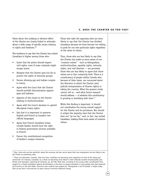# **5. DOES THE CHARTER GO TOO FAR?**

Views about the unifying or divisive effect of the Charter are closely linked to attitudes about a wide range of specific issues relating to rights and freedoms.<sup>46</sup>

The tendency to say that the Charter has united Canadians is higher among those who:

- Insist that the police should respect civil rights, even if some criminals might escape arrest;
- Disagree that the Charter goes too far to protect the rights of minority groups;
- Favour allowing gay and lesbian couples to marry;
- Agree with the Court that the Charter should prohibit discrimination against gays and lesbians;
- Approve of the clause in the Charter relating to multiculturalism;
- Agree with the Court's decision to uphold Aboriginal treaty rights;
- Say that it is important to preserve English and French as Canada's two official languages;
- Agree that French Canadians living outside Quebec should have the right to federal government services available in French;
- Favour the constitutional recognition of Quebec's unique character.

Those who take the opposing view are more likely to say that the Charter has divided Canadians because we have become too willing to push for our own particular rights regardless of the views of others.

Thus, those who are less likely to say that the Charter has made us more aware of our "common values" – such as bilingualism, multiculturalism, equality rights, minority rights, and civil liberties — are precisely those who are less likely to agree that those values are in fact commonly held. There is a constituency of people within Canada who, because of their views, are concerned about the direction in which the Charter (and judicial interpretation of Charter rights) is taking the country. What the present study cannot tell us – and what future research should address — is whether this constituency is growing or shrinking with time.<sup>47</sup>

While this finding is important, it should not overshadow the strong overall support for the Charter and its provisions. Nor should it eclipse the majority view that the Charter does not "go too far," and, in fact, has united Canadians, making them more aware of common values.

<sup>46</sup> Also, those who are less optimistic about the economy and less secure about their own employment are less likely to see the Charter as promoting unity.

<sup>&</sup>lt;sup>47</sup> There are indications, however, that over time, Canadians are becoming more supportive of some of the values just mentioned. For instance, Canadians as a whole are becoming more liberal in their attitudes towards homosexuality (see Bricker and Greenspon, *Searching for Certainty*, pp. 267-68). Note that, according to the survey under consideration here, support for a Charter prohibition against discrimination on the basis on sexual orientation is much greater than that measured by Environics in the mid-1990s. Environics also confirms that support for "bilingualism in all of Canada" is higher today than at any time in the previous 25 years (source: Environics Research Group).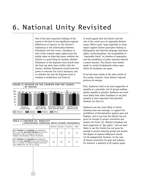# 6. National Unity Revisited

One of the most important findings of the survey is the lack of any significant regional differences of opinion on the Charter's legitimacy or the relationship between Parliament and the courts. Canadians in each of the country's major regions have the similar views on these key issues: whether the Charter is a good thing for Canada; whether Parliament or the Supreme Court should have the final say when laws conflict with the Charter; whether Parliament should have the power to overrule the Court's decisions; and on whether the way the Supreme Court is working is satisfactory (SEE FIGURE 9).

**FIGURE 9 OPINION ON THE CHARTER AND THE COURTS, BY REGION**



| (PERCENTAGE AGREEING WITH EITHER STATEMENT)                                                                                               |    |                             |    |      |
|-------------------------------------------------------------------------------------------------------------------------------------------|----|-----------------------------|----|------|
|                                                                                                                                           |    | Atlantic   Quebec   Ontario |    | West |
| Both freedom and equality are important.<br>But I consider <b>personal freedom</b> to be more<br>important, that is, everyone can live in | 51 | 39                          | 54 | 54   |

| freedom and develop without hindrance.                                                                                                                                                    |    |    |    |  |
|-------------------------------------------------------------------------------------------------------------------------------------------------------------------------------------------|----|----|----|--|
| Both freedom and equality are important.<br>But I consider <b>equality</b> to be more important,<br>that is, nobody is underprivileged and social<br>class differences are not so strong. | 40 | 59 | 43 |  |

30

It would appear that the Charter and the role of the courts are not regionally divisive issues. What's more, large majorities in every region support Charter principles relating to bilingualism and minority language education rights, multiculturalism, the acceptability of "reasonable limits" on freedom of expression, and the prohibition of police searches without a search warrant. The Charter does indeed speak to certain fundamental values upon which all Canadians can agree.

If we look more closely at the other results of the survey, however, some distinct regional patterns do emerge.

First, Quebecers tend to be more supportive of equality as a principle, and of groups seeking greater equality in practice. Quebecers are much more likely than other Canadians to say that equality is more important that personal freedom (SEE TABLE 6).

Quebecers are also more likely to favour allowing same-sex marriage, to support the prohibition of discrimination against gays and lesbians, and to say that the Charter has not gone far enough to protect minorities and women (SEE FIGURE 10). Western Canadians are least supportive of "gay rights," and are least likely to say the Charter has not gone far enough to protect minority groups and women. The degree of regional difference should not be exaggerated, however. In the case of Charter protection for gays and lesbians, for instance, a majority in all regions agree.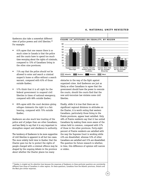# **6. NATIONAL UNITY REVISITED**

Quebecers also take a somewhat different view of police powers and civil liberties.<sup>48</sup> For example:

- 61% agree that one reason there is so much crime in Canada is that the police and the courts have to spend too much time worrying about the rights of criminals, compared to 72% of Canadians living in the other nine provinces;
- 71% say that the police *should not* be allowed to enter and search a criminal suspect's home or office without a search warrant, compared with 63% of those outside Quebec;
- 57% think that it is all right for the federal government to suspend civil liberties in times of national emergency, compared with 68% outside Quebec;
- 85% agree with the court decision giving refugee claimants the right to a fair hearing, compared with 75% outside Quebec;

Quebecers are also much less trusting of the police and of judges than are other Canadians, and less likely to say that it is *very* important to strengthen respect and obedience to authority.

The tendency of Quebecers to be more supportive of civil liberties is apparent in all but two cases. The more widely held view in Quebec that the Charter goes too far to protect the rights of people charged with a criminal offence may be shaped by the ongoing debate in the province about whether the Charter places too many



obstacles in the way of the fight against organized crime. And Quebecers are just as likely as other Canadians to agree that the government should have the power to overrule the courts, should the courts find that the new anti-terrorism law violates some civil liberties.

Finally, while it is true that there are no significant regional divisions in attitudes on the Charter, it is worth noting that western Canadians, particularly those living in the Prairie provinces, appear least satisfied. Only 48% of Prairie residents say that it has united Canadians by making them more aware of the values held in common, compared with 57% of those in the other provinces. Forty-eight percent of Prairie residents are satisfied with the way the Supreme Court is working while 43% are dissatisfied, whereas 53% of other Canadians are satisfied and 31% are dissatisfied. The question for future research is whether, in time, this difference of opinion will narrow or widen.

<sup>48</sup> Quebec is singled out for attention here because the responses of Quebecers *to these particular questions* are consistently different from those of Canadians in other regions. On these questions, Canadians from the Atlantic provinces, Ontario and the West give similar responses.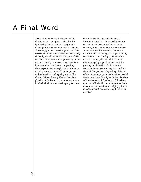# A Final Word

32

A central objective for the framers of the Charter was to strengthen national unity by focusing Canadians of all backgrounds on the political values they hold in common. The survey provides dramatic proof that they succeeded. The Charter speaks to values widely shared by Canadians, and in the space of two decades, it has become an important symbol of national identity. Moreover, what Canadians like most about the Charter are precisely those aspects that underpin the maintenance of unity – protection of official languages, multiculturalism, and equality rights. The Charter defines the very ideal of Canada: a pluralist, inclusive and tolerant country, one in which all citizens can feel equally at home.

Certainly, the Charter, and the courts' interpretations of its clauses, will generate ever more controversy. Modern societies currently are grappling with difficult issues: advances in medical research; the impacts of information technology; changes in family structure and relationships; the evolution of social mores; political mobilization of disadvantaged groups of citizens; and the growing sophistication of criminals and terrorists. Government attempts to confront these challenges inevitably will spark heated debates about appropriate limits to fundamental freedoms and equality rights. In Canada, these will revolve around the Charter. This raises a question: Will the Charter emerge from these debates as the same kind of rallying point for Canadians that it became during its first two decades?